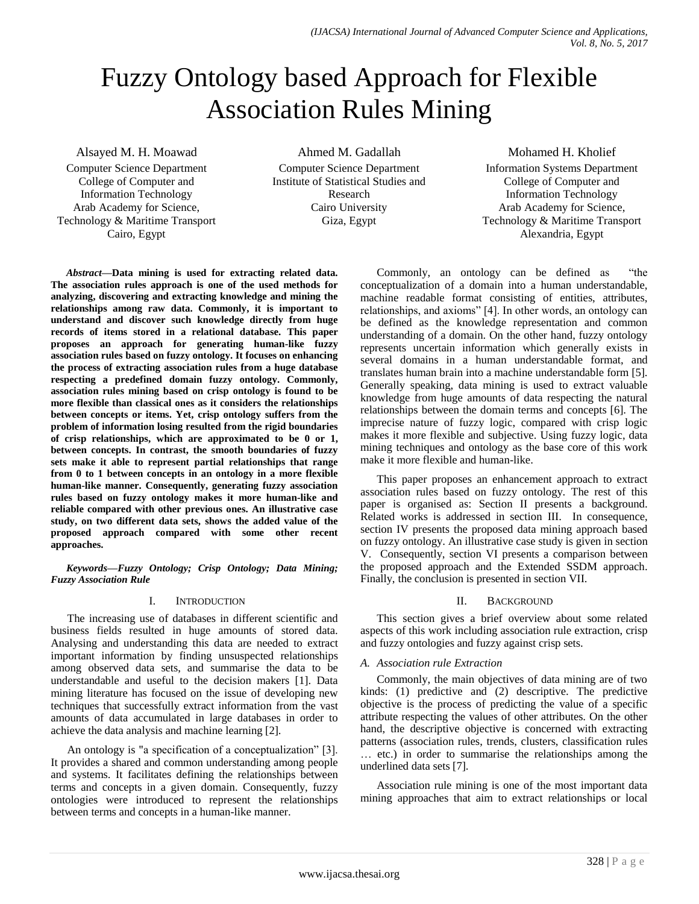# Fuzzy Ontology based Approach for Flexible Association Rules Mining

Alsayed M. H. Moawad

Computer Science Department College of Computer and Information Technology Arab Academy for Science, Technology & Maritime Transport Cairo, Egypt

Ahmed M. Gadallah

Computer Science Department Institute of Statistical Studies and Research Cairo University Giza, Egypt

Mohamed H. Kholief Information Systems Department College of Computer and Information Technology Arab Academy for Science, Technology & Maritime Transport Alexandria, Egypt

*Abstract—***Data mining is used for extracting related data. The association rules approach is one of the used methods for analyzing, discovering and extracting knowledge and mining the relationships among raw data. Commonly, it is important to understand and discover such knowledge directly from huge records of items stored in a relational database. This paper proposes an approach for generating human-like fuzzy association rules based on fuzzy ontology. It focuses on enhancing the process of extracting association rules from a huge database respecting a predefined domain fuzzy ontology. Commonly, association rules mining based on crisp ontology is found to be more flexible than classical ones as it considers the relationships between concepts or items. Yet, crisp ontology suffers from the problem of information losing resulted from the rigid boundaries of crisp relationships, which are approximated to be 0 or 1, between concepts. In contrast, the smooth boundaries of fuzzy sets make it able to represent partial relationships that range from 0 to 1 between concepts in an ontology in a more flexible human-like manner. Consequently, generating fuzzy association rules based on fuzzy ontology makes it more human-like and reliable compared with other previous ones. An illustrative case study, on two different data sets, shows the added value of the proposed approach compared with some other recent approaches.**

*Keywords—Fuzzy Ontology; Crisp Ontology; Data Mining; Fuzzy Association Rule*

# I. INTRODUCTION

The increasing use of databases in different scientific and business fields resulted in huge amounts of stored data. Analysing and understanding this data are needed to extract important information by finding unsuspected relationships among observed data sets, and summarise the data to be understandable and useful to the decision makers [1]. Data mining literature has focused on the issue of developing new techniques that successfully extract information from the vast amounts of data accumulated in large databases in order to achieve the data analysis and machine learning [2].

An ontology is "a specification of a conceptualization" [3]. It provides a shared and common understanding among people and systems. It facilitates defining the relationships between terms and concepts in a given domain. Consequently, fuzzy ontologies were introduced to represent the relationships between terms and concepts in a human-like manner.

Commonly, an ontology can be defined as "the conceptualization of a domain into a human understandable, machine readable format consisting of entities, attributes, relationships, and axioms" [4]. In other words, an ontology can be defined as the knowledge representation and common understanding of a domain. On the other hand, fuzzy ontology represents uncertain information which generally exists in several domains in a human understandable format, and translates human brain into a machine understandable form [5]. Generally speaking, data mining is used to extract valuable knowledge from huge amounts of data respecting the natural relationships between the domain terms and concepts [6]. The imprecise nature of fuzzy logic, compared with crisp logic makes it more flexible and subjective. Using fuzzy logic, data mining techniques and ontology as the base core of this work make it more flexible and human-like.

This paper proposes an enhancement approach to extract association rules based on fuzzy ontology. The rest of this paper is organised as: Section II presents a background. Related works is addressed in section III. In consequence, section IV presents the proposed data mining approach based on fuzzy ontology. An illustrative case study is given in section V. Consequently, section VI presents a comparison between the proposed approach and the Extended SSDM approach. Finally, the conclusion is presented in section VII.

# II. BACKGROUND

This section gives a brief overview about some related aspects of this work including association rule extraction, crisp and fuzzy ontologies and fuzzy against crisp sets.

# *A. Association rule Extraction*

Commonly, the main objectives of data mining are of two kinds: (1) predictive and (2) descriptive. The predictive objective is the process of predicting the value of a specific attribute respecting the values of other attributes. On the other hand, the descriptive objective is concerned with extracting patterns (association rules, trends, clusters, classification rules … etc.) in order to summarise the relationships among the underlined data sets [7].

Association rule mining is one of the most important data mining approaches that aim to extract relationships or local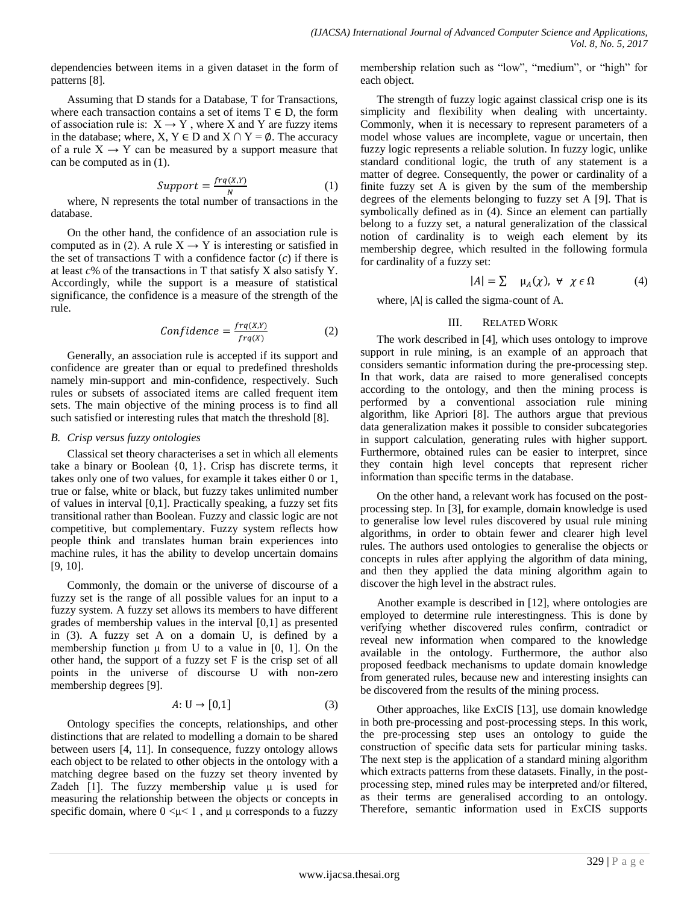dependencies between items in a given dataset in the form of patterns [8].

Assuming that D stands for a Database, T for Transactions, where each transaction contains a set of items  $T \in D$ , the form of association rule is:  $X \rightarrow Y$ , where X and Y are fuzzy items in the database; where,  $X, Y \in D$  and  $X \cap Y = \emptyset$ . The accuracy of a rule  $X \rightarrow Y$  can be measured by a support measure that can be computed as in (1).

$$
Support = \frac{freq(X,Y)}{N} \tag{1}
$$

where, N represents the total number of transactions in the database.

On the other hand, the confidence of an association rule is computed as in (2). A rule  $X \rightarrow Y$  is interesting or satisfied in the set of transactions  $T$  with a confidence factor  $(c)$  if there is at least *c*% of the transactions in T that satisfy X also satisfy Y. Accordingly, while the support is a measure of statistical significance, the confidence is a measure of the strength of the rule.

$$
Confidence = \frac{frq(X,Y)}{frq(X)}
$$
 (2)

Generally, an association rule is accepted if its support and confidence are greater than or equal to predefined thresholds namely min-support and min-confidence, respectively. Such rules or subsets of associated items are called frequent item sets. The main objective of the mining process is to find all such satisfied or interesting rules that match the threshold [8].

#### *B. Crisp versus fuzzy ontologies*

Classical set theory characterises a set in which all elements take a binary or Boolean {0, 1}. Crisp has discrete terms, it takes only one of two values, for example it takes either 0 or 1, true or false, white or black, but fuzzy takes unlimited number of values in interval [0,1]. Practically speaking, a fuzzy set fits transitional rather than Boolean. Fuzzy and classic logic are not competitive, but complementary. Fuzzy system reflects how people think and translates human brain experiences into machine rules, it has the ability to develop uncertain domains [9, 10].

Commonly, the domain or the universe of discourse of a fuzzy set is the range of all possible values for an input to a fuzzy system. A fuzzy set allows its members to have different grades of membership values in the interval [0,1] as presented in (3). A fuzzy set A on a domain U, is defined by a membership function  $\mu$  from U to a value in [0, 1]. On the other hand, the support of a fuzzy set F is the crisp set of all points in the universe of discourse U with non-zero membership degrees [9].

$$
A: U \to [0,1] \tag{3}
$$

Ontology specifies the concepts, relationships, and other distinctions that are related to modelling a domain to be shared between users [4, 11]. In consequence, fuzzy ontology allows each object to be related to other objects in the ontology with a matching degree based on the fuzzy set theory invented by Zadeh [1]. The fuzzy membership value  $\mu$  is used for measuring the relationship between the objects or concepts in specific domain, where  $0 \lt \mu \lt 1$ , and  $\mu$  corresponds to a fuzzy

membership relation such as "low", "medium", or "high" for each object.

The strength of fuzzy logic against classical crisp one is its simplicity and flexibility when dealing with uncertainty. Commonly, when it is necessary to represent parameters of a model whose values are incomplete, vague or uncertain, then fuzzy logic represents a reliable solution. In fuzzy logic, unlike standard conditional logic, the truth of any statement is a matter of degree. Consequently, the power or cardinality of a finite fuzzy set A is given by the sum of the membership degrees of the elements belonging to fuzzy set A [9]. That is symbolically defined as in (4). Since an element can partially belong to a fuzzy set, a natural generalization of the classical notion of cardinality is to weigh each element by its membership degree, which resulted in the following formula for cardinality of a fuzzy set:

$$
|A| = \sum \mu_A(\chi), \forall \chi \in \Omega \tag{4}
$$

where, |A| is called the sigma-count of A.

#### III. RELATED WORK

The work described in [4], which uses ontology to improve support in rule mining, is an example of an approach that considers semantic information during the pre-processing step. In that work, data are raised to more generalised concepts according to the ontology, and then the mining process is performed by a conventional association rule mining algorithm, like Apriori [8]. The authors argue that previous data generalization makes it possible to consider subcategories in support calculation, generating rules with higher support. Furthermore, obtained rules can be easier to interpret, since they contain high level concepts that represent richer information than specific terms in the database.

On the other hand, a relevant work has focused on the postprocessing step. In [3], for example, domain knowledge is used to generalise low level rules discovered by usual rule mining algorithms, in order to obtain fewer and clearer high level rules. The authors used ontologies to generalise the objects or concepts in rules after applying the algorithm of data mining, and then they applied the data mining algorithm again to discover the high level in the abstract rules.

Another example is described in [12], where ontologies are employed to determine rule interestingness. This is done by verifying whether discovered rules confirm, contradict or reveal new information when compared to the knowledge available in the ontology. Furthermore, the author also proposed feedback mechanisms to update domain knowledge from generated rules, because new and interesting insights can be discovered from the results of the mining process.

Other approaches, like ExCIS [13], use domain knowledge in both pre-processing and post-processing steps. In this work, the pre-processing step uses an ontology to guide the construction of specific data sets for particular mining tasks. The next step is the application of a standard mining algorithm which extracts patterns from these datasets. Finally, in the postprocessing step, mined rules may be interpreted and/or filtered, as their terms are generalised according to an ontology. Therefore, semantic information used in ExCIS supports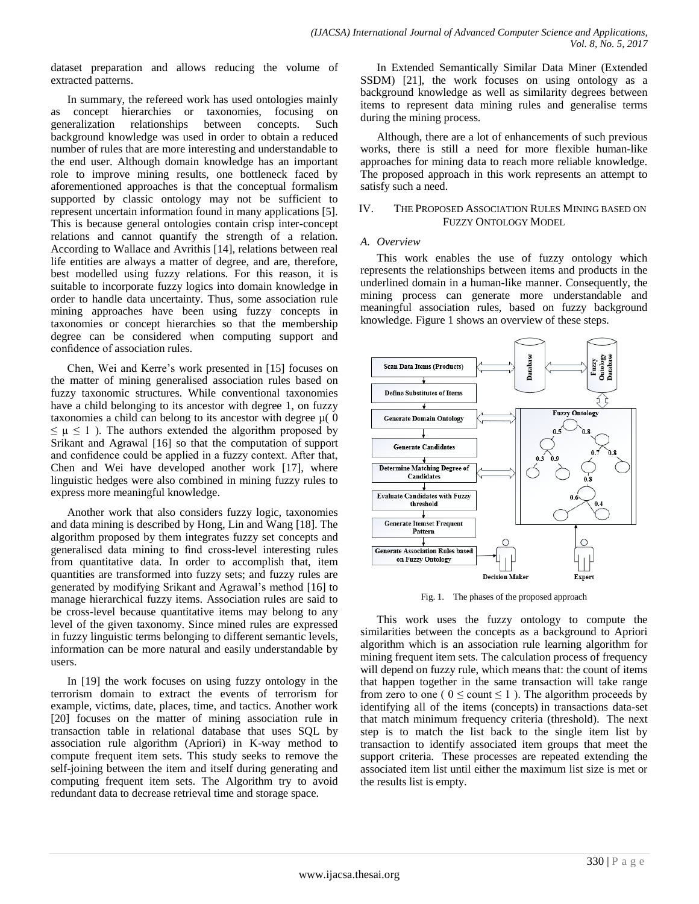dataset preparation and allows reducing the volume of extracted patterns.

In summary, the refereed work has used ontologies mainly as concept hierarchies or taxonomies, focusing on generalization relationships between concepts. Such background knowledge was used in order to obtain a reduced number of rules that are more interesting and understandable to the end user. Although domain knowledge has an important role to improve mining results, one bottleneck faced by aforementioned approaches is that the conceptual formalism supported by classic ontology may not be sufficient to represent uncertain information found in many applications [5]. This is because general ontologies contain crisp inter-concept relations and cannot quantify the strength of a relation. According to Wallace and Avrithis [14], relations between real life entities are always a matter of degree, and are, therefore, best modelled using fuzzy relations. For this reason, it is suitable to incorporate fuzzy logics into domain knowledge in order to handle data uncertainty. Thus, some association rule mining approaches have been using fuzzy concepts in taxonomies or concept hierarchies so that the membership degree can be considered when computing support and confidence of association rules.

Chen, Wei and Kerre's work presented in [15] focuses on the matter of mining generalised association rules based on fuzzy taxonomic structures. While conventional taxonomies have a child belonging to its ancestor with degree 1, on fuzzy taxonomies a child can belong to its ancestor with degree  $\mu(0)$  $\leq \mu \leq 1$ ). The authors extended the algorithm proposed by Srikant and Agrawal [16] so that the computation of support and confidence could be applied in a fuzzy context. After that, Chen and Wei have developed another work [17], where linguistic hedges were also combined in mining fuzzy rules to express more meaningful knowledge.

Another work that also considers fuzzy logic, taxonomies and data mining is described by Hong, Lin and Wang [18]. The algorithm proposed by them integrates fuzzy set concepts and generalised data mining to find cross-level interesting rules from quantitative data. In order to accomplish that, item quantities are transformed into fuzzy sets; and fuzzy rules are generated by modifying Srikant and Agrawal's method [16] to manage hierarchical fuzzy items. Association rules are said to be cross-level because quantitative items may belong to any level of the given taxonomy. Since mined rules are expressed in fuzzy linguistic terms belonging to different semantic levels, information can be more natural and easily understandable by users.

In [19] the work focuses on using fuzzy ontology in the terrorism domain to extract the events of terrorism for example, victims, date, places, time, and tactics. Another work [20] focuses on the matter of mining association rule in transaction table in relational database that uses SQL by association rule algorithm (Apriori) in K-way method to compute frequent item sets. This study seeks to remove the self-joining between the item and itself during generating and computing frequent item sets. The Algorithm try to avoid redundant data to decrease retrieval time and storage space.

In Extended Semantically Similar Data Miner (Extended SSDM) [21], the work focuses on using ontology as a background knowledge as well as similarity degrees between items to represent data mining rules and generalise terms during the mining process.

Although, there are a lot of enhancements of such previous works, there is still a need for more flexible human-like approaches for mining data to reach more reliable knowledge. The proposed approach in this work represents an attempt to satisfy such a need.

#### IV. THE PROPOSED ASSOCIATION RULES MINING BASED ON FUZZY ONTOLOGY MODEL

## *A. Overview*

This work enables the use of fuzzy ontology which represents the relationships between items and products in the underlined domain in a human-like manner. Consequently, the mining process can generate more understandable and meaningful association rules, based on fuzzy background knowledge. Figure 1 shows an overview of these steps.



Fig. 1. The phases of the proposed approach

This work uses the fuzzy ontology to compute the similarities between the concepts as a background to Apriori algorithm which is an association rule learning algorithm for mining frequent item sets. The calculation process of frequency will depend on fuzzy rule, which means that: the count of items that happen together in the same transaction will take range from zero to one (  $0 \le$  count  $\le$  1 ). The algorithm proceeds by identifying all of the items (concepts) in transactions data-set that match minimum frequency criteria (threshold). The next step is to match the list back to the single item list by transaction to identify associated item groups that meet the support criteria. These processes are repeated extending the associated item list until either the maximum list size is met or the results list is empty.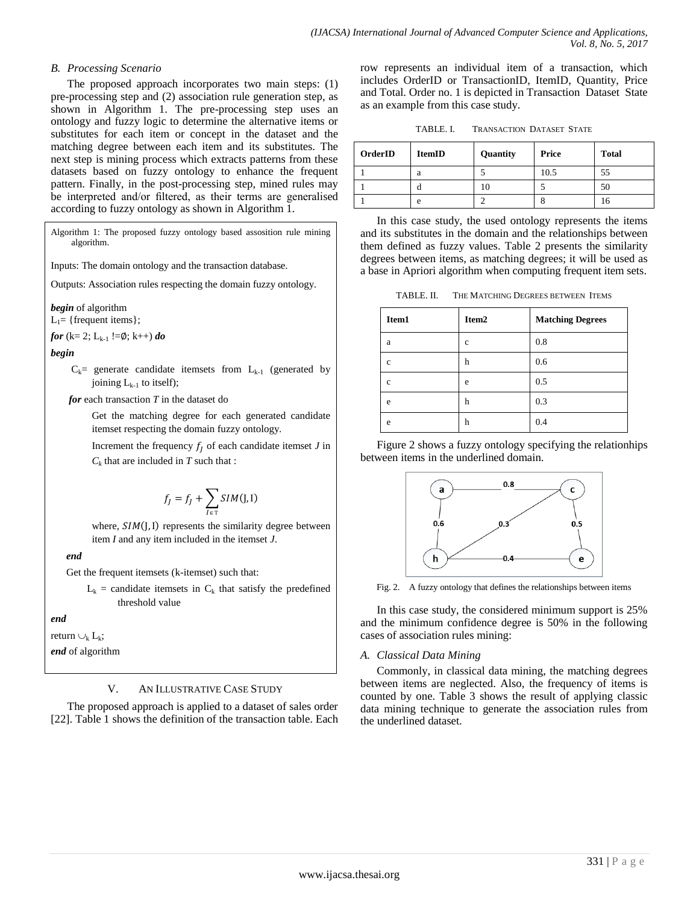## *B. Processing Scenario*

The proposed approach incorporates two main steps: (1) pre-processing step and (2) association rule generation step, as shown in Algorithm 1. The pre-processing step uses an ontology and fuzzy logic to determine the alternative items or substitutes for each item or concept in the dataset and the matching degree between each item and its substitutes. The next step is mining process which extracts patterns from these datasets based on fuzzy ontology to enhance the frequent pattern. Finally, in the post-processing step, mined rules may be interpreted and/or filtered, as their terms are generalised according to fuzzy ontology as shown in Algorithm 1.

Algorithm 1: The proposed fuzzy ontology based assosition rule mining algorithm.

Inputs: The domain ontology and the transaction database.

Outputs: Association rules respecting the domain fuzzy ontology.

*begin* of algorithm  $L_1$ = {frequent items};

*for* (k= 2; L<sub>k-1</sub> !=Ø; k++) *do* 

#### *begin*

 $C_k$ = generate candidate itemsets from  $L_{k-1}$  (generated by joining  $L_{k-1}$  to itself);

*for* each transaction *T* in the dataset do

Get the matching degree for each generated candidate itemset respecting the domain fuzzy ontology.

Increment the frequency  $f_I$  of each candidate itemset *J* in  $C_k$  that are included in *T* such that :

$$
f_J = f_J + \sum_{I \in \mathbb{T}} SIM(\mathsf{J}, \mathsf{I})
$$

where,  $SIM(J, I)$  represents the similarity degree between item *I* and any item included in the itemset *J*.

 *end*

Get the frequent itemsets (k-itemset) such that:

 $L_k$  = candidate itemsets in  $C_k$  that satisfy the predefined threshold value

#### *end*

return  $\cup_k L_k$ ; *end* of algorithm

#### V. AN ILLUSTRATIVE CASE STUDY

The proposed approach is applied to a dataset of sales order [22]. Table 1 shows the definition of the transaction table. Each row represents an individual item of a transaction, which includes OrderID or TransactionID, ItemID, Quantity, Price and Total. Order no. 1 is depicted i[n Transaction Dataset State](#page-3-0) as an example from this case study.

|  | TABLE. I. | <b>TRANSACTION DATASET STATE</b> |  |  |
|--|-----------|----------------------------------|--|--|
|--|-----------|----------------------------------|--|--|

<span id="page-3-0"></span>

| OrderID | <b>ItemID</b> | Quantity | Price | <b>Total</b> |
|---------|---------------|----------|-------|--------------|
|         | a             |          | 10.5  | 55           |
|         | d             |          |       | 50           |
|         | e             |          |       | 10           |

In this case study, the used ontology represents the items and its substitutes in the domain and the relationships between them defined as fuzzy values. Table 2 presents the similarity degrees between items, as matching degrees; it will be used as a base in Apriori algorithm when computing frequent item sets.

TABLE. II. THE MATCHING DEGREES BETWEEN ITEMS

| Item1 | Item <sub>2</sub> | <b>Matching Degrees</b> |
|-------|-------------------|-------------------------|
| a     | $\mathbf c$       | 0.8                     |
| c     | h                 | 0.6                     |
| c     | e                 | 0.5                     |
| e     | h                 | 0.3                     |
| e     | h                 | 0.4                     |

Figure 2 shows a fuzzy ontology specifying the relationhips between items in the underlined domain.



Fig. 2. A fuzzy ontology that defines the relationships between items

In this case study, the considered minimum support is 25% and the minimum confidence degree is 50% in the following cases of association rules mining:

# *A. Classical Data Mining*

Commonly, in classical data mining, the matching degrees between items are neglected. Also, the frequency of items is counted by one. Table 3 shows the result of applying classic data mining technique to generate the association rules from the underlined dataset.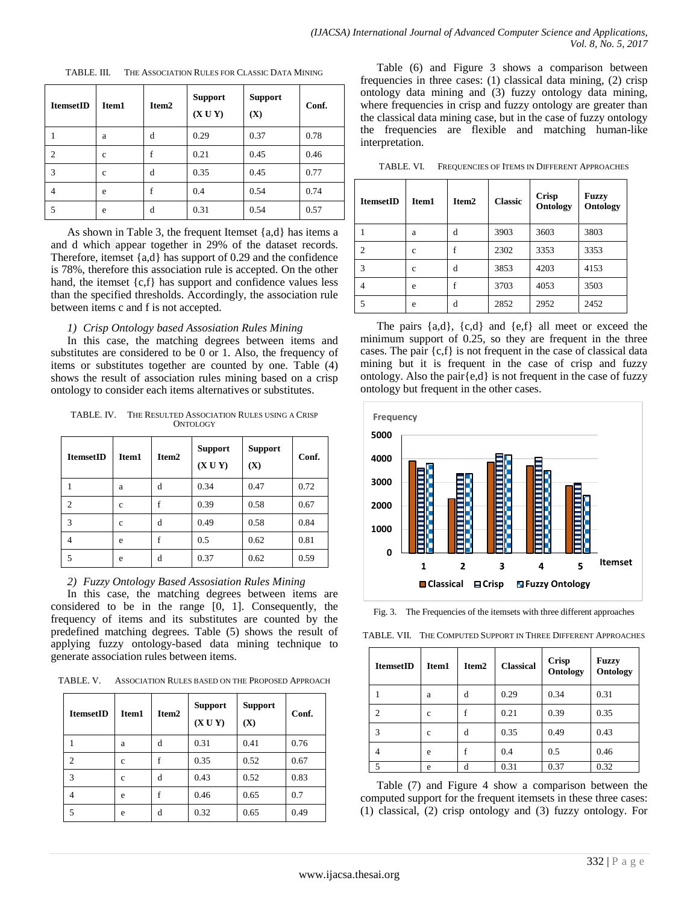| <b>ItemsetID</b> | Item1 | Item <sub>2</sub> | <b>Support</b><br>(XUY) | <b>Support</b><br>(X) | Conf. |
|------------------|-------|-------------------|-------------------------|-----------------------|-------|
|                  | a     | d                 | 0.29                    | 0.37                  | 0.78  |
| 2                | c     | f                 | 0.21                    | 0.45                  | 0.46  |
| 3                | c     | d                 | 0.35                    | 0.45                  | 0.77  |
| $\overline{4}$   | e     | f                 | 0.4                     | 0.54                  | 0.74  |
| 5                | e     | d                 | 0.31                    | 0.54                  | 0.57  |

TABLE. III. THE ASSOCIATION RULES FOR CLASSIC DATA MINING

As shown in Table 3, the frequent Itemset {a,d} has items a and d which appear together in 29% of the dataset records. Therefore, itemset {a,d} has support of 0.29 and the confidence is 78%, therefore this association rule is accepted. On the other hand, the itemset {c,f} has support and confidence values less than the specified thresholds. Accordingly, the association rule between items c and f is not accepted.

#### *1) Crisp Ontology based Assosiation Rules Mining*

In this case, the matching degrees between items and substitutes are considered to be 0 or 1. Also, the frequency of items or substitutes together are counted by one. Table (4) shows the result of association rules mining based on a crisp ontology to consider each items alternatives or substitutes.

TABLE. IV. THE RESULTED ASSOCIATION RULES USING A CRISP ONTOLOGY

| <b>ItemsetID</b> | Item1 | Item <sub>2</sub> | <b>Support</b><br>(XUY) | <b>Support</b><br>(X) | Conf. |
|------------------|-------|-------------------|-------------------------|-----------------------|-------|
|                  | a     | d                 | 0.34                    | 0.47                  | 0.72  |
| 2                | c     | f                 | 0.39                    | 0.58                  | 0.67  |
| 3                | c     | d                 | 0.49                    | 0.58                  | 0.84  |
| 4                | e     | f                 | 0.5                     | 0.62                  | 0.81  |
| 5                | e     | d                 | 0.37                    | 0.62                  | 0.59  |

## *2) Fuzzy Ontology Based Assosiation Rules Mining*

In this case, the matching degrees between items are considered to be in the range [0, 1]. Consequently, the frequency of items and its substitutes are counted by the predefined matching degrees. Table (5) shows the result of applying fuzzy ontology-based data mining technique to generate association rules between items.

TABLE. V. ASSOCIATION RULES BASED ON THE PROPOSED APPROACH

| <b>ItemsetID</b> | Item1 | Item2 | <b>Support</b><br>(XUY) | <b>Support</b><br>(X) | Conf. |
|------------------|-------|-------|-------------------------|-----------------------|-------|
|                  | a     | d     | 0.31                    | 0.41                  | 0.76  |
| $\overline{c}$   | c     | f     | 0.35                    | 0.52                  | 0.67  |
| 3                | c     | d     | 0.43                    | 0.52                  | 0.83  |
| $\overline{4}$   | e     | f     | 0.46                    | 0.65                  | 0.7   |
| 5                | e     | d     | 0.32                    | 0.65                  | 0.49  |

Table (6) and Figure 3 shows a comparison between frequencies in three cases: (1) classical data mining, (2) crisp ontology data mining and (3) fuzzy ontology data mining, where frequencies in crisp and fuzzy ontology are greater than the classical data mining case, but in the case of fuzzy ontology the frequencies are flexible and matching human-like interpretation.

TABLE. VI. FREQUENCIES OF ITEMS IN DIFFERENT APPROACHES

| <b>ItemsetID</b> | Item1 | Item2 | <b>Classic</b> | <b>Crisp</b><br>Ontology | <b>Fuzzy</b><br>Ontology |
|------------------|-------|-------|----------------|--------------------------|--------------------------|
|                  | a     | d     | 3903           | 3603                     | 3803                     |
| 2                | c     | f     | 2302           | 3353                     | 3353                     |
| 3                | c     | d     | 3853           | 4203                     | 4153                     |
| 4                | e     | f     | 3703           | 4053                     | 3503                     |
| 5                | e     | d     | 2852           | 2952                     | 2452                     |

The pairs  $\{a,d\}$ ,  $\{c,d\}$  and  $\{e,f\}$  all meet or exceed the minimum support of 0.25, so they are frequent in the three cases. The pair {c,f} is not frequent in the case of classical data mining but it is frequent in the case of crisp and fuzzy ontology. Also the pair $\{e,d\}$  is not frequent in the case of fuzzy ontology but frequent in the other cases.



Fig. 3. The Frequencies of the itemsets with three different approaches

TABLE. VII. THE COMPUTED SUPPORT IN THREE DIFFERENT APPROACHES

| <b>ItemsetID</b> | Item1       | Item <sub>2</sub> | <b>Classical</b> | <b>Crisp</b><br>Ontology | <b>Fuzzy</b><br>Ontology |
|------------------|-------------|-------------------|------------------|--------------------------|--------------------------|
|                  | a           | d                 | 0.29             | 0.34                     | 0.31                     |
| $\mathcal{D}$    | $\mathbf c$ |                   | 0.21             | 0.39                     | 0.35                     |
| 3                | c           | d                 | 0.35             | 0.49                     | 0.43                     |
|                  | e           |                   | 0.4              | 0.5                      | 0.46                     |
|                  | e           | d                 | 0.31             | 0.37                     | 0.32                     |

Table (7) and Figure 4 show a comparison between the computed support for the frequent itemsets in these three cases: (1) classical, (2) crisp ontology and (3) fuzzy ontology. For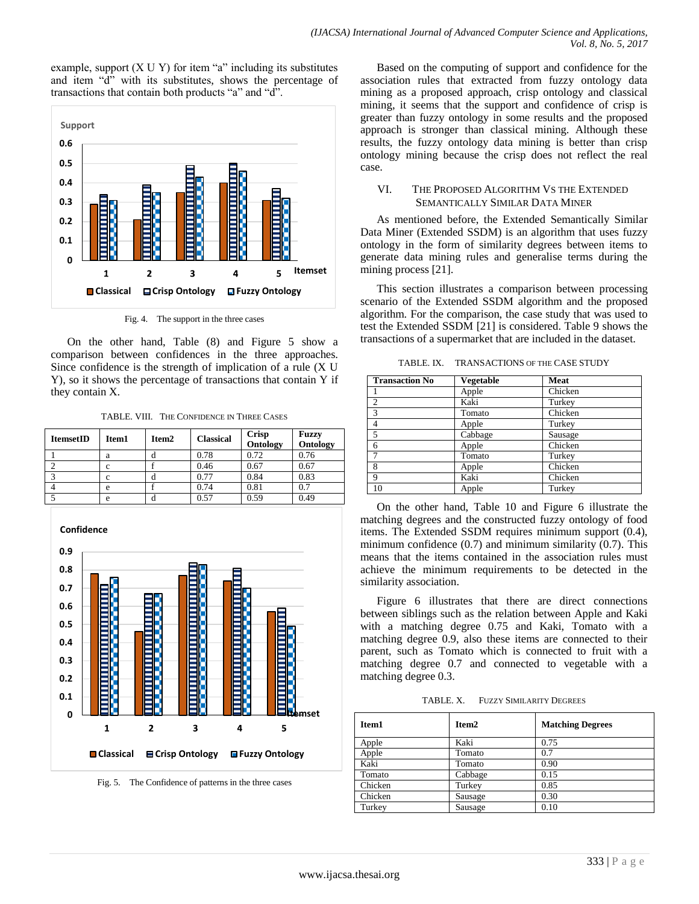example, support  $(X U Y)$  for item "a" including its substitutes and item "d" with its substitutes, shows the percentage of transactions that contain both products "a" and "d".



Fig. 4. The support in the three cases

On the other hand, Table (8) and Figure 5 show a comparison between confidences in the three approaches. Since confidence is the strength of implication of a rule (X U Y), so it shows the percentage of transactions that contain Y if they contain X.

TABLE. VIII. THE CONFIDENCE IN THREE CASES

| <b>ItemsetID</b> | Item1 | Item <sub>2</sub> | <b>Classical</b> | Crisp    | <b>Fuzzy</b> |
|------------------|-------|-------------------|------------------|----------|--------------|
|                  |       |                   |                  | Ontology | Ontology     |
|                  | a     |                   | 0.78             | 0.72     | 0.76         |
|                  | с     |                   | 0.46             | 0.67     | 0.67         |
|                  | c     |                   | 0.77             | 0.84     | 0.83         |
|                  | e     |                   | 0.74             | 0.81     | 0.7          |
|                  | e     |                   | 0.57             | 0.59     | 0.49         |



Fig. 5. The Confidence of patterns in the three cases

Based on the computing of support and confidence for the association rules that extracted from fuzzy ontology data mining as a proposed approach, crisp ontology and classical mining, it seems that the support and confidence of crisp is greater than fuzzy ontology in some results and the proposed approach is stronger than classical mining. Although these results, the fuzzy ontology data mining is better than crisp ontology mining because the crisp does not reflect the real case.

#### VI. THE PROPOSED ALGORITHM VS THE EXTENDED SEMANTICALLY SIMILAR DATA MINER

As mentioned before, the Extended Semantically Similar Data Miner (Extended SSDM) is an algorithm that uses fuzzy ontology in the form of similarity degrees between items to generate data mining rules and generalise terms during the mining process [21].

This section illustrates a comparison between processing scenario of the Extended SSDM algorithm and the proposed algorithm. For the comparison, the case study that was used to test the Extended SSDM [21] is considered. Table 9 shows the transactions of a supermarket that are included in the dataset.

TABLE. IX. TRANSACTIONS OF THE CASE STUDY

| <b>Transaction No</b> | <b>Vegetable</b> | Meat    |
|-----------------------|------------------|---------|
|                       | Apple            | Chicken |
| $\overline{c}$        | Kaki             | Turkey  |
| 3                     | Tomato           | Chicken |
| 4                     | Apple            | Turkey  |
| 5                     | Cabbage          | Sausage |
| 6                     | Apple            | Chicken |
|                       | Tomato           | Turkey  |
| 8                     | Apple            | Chicken |
| 9                     | Kaki             | Chicken |
| 10                    | Apple            | Turkey  |

On the other hand, Table 10 and Figure 6 illustrate the matching degrees and the constructed fuzzy ontology of food items. The Extended SSDM requires minimum support (0.4), minimum confidence  $(0.7)$  and minimum similarity  $(0.7)$ . This means that the items contained in the association rules must achieve the minimum requirements to be detected in the similarity association.

Figure 6 illustrates that there are direct connections between siblings such as the relation between Apple and Kaki with a matching degree 0.75 and Kaki, Tomato with a matching degree 0.9, also these items are connected to their parent, such as Tomato which is connected to fruit with a matching degree 0.7 and connected to vegetable with a matching degree 0.3.

TABLE. X. FUZZY SIMILARITY DEGREES

| Item1   | Item <sub>2</sub> | <b>Matching Degrees</b> |
|---------|-------------------|-------------------------|
| Apple   | Kaki              | 0.75                    |
| Apple   | Tomato            | 0.7                     |
| Kaki    | Tomato            | 0.90                    |
| Tomato  | Cabbage           | 0.15                    |
| Chicken | Turkey            | 0.85                    |
| Chicken | Sausage           | 0.30                    |
| Turkey  | Sausage           | 0.10                    |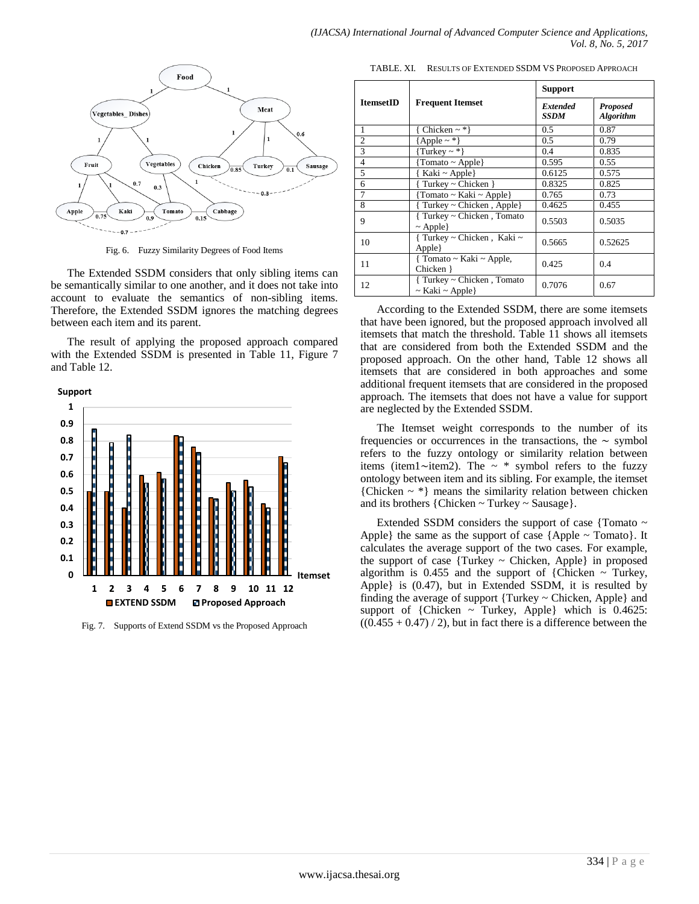

Fig. 6. Fuzzy Similarity Degrees of Food Items

The Extended SSDM considers that only sibling items can be semantically similar to one another, and it does not take into account to evaluate the semantics of non-sibling items. Therefore, the Extended SSDM ignores the matching degrees between each item and its parent.

The result of applying the proposed approach compared with the Extended SSDM is presented in Table 11, Figure 7 and Table 12.

**Support**



Fig. 7. Supports of Extend SSDM vs the Proposed Approach

TABLE. XI. RESULTS OF EXTENDED SSDM VS PROPOSED APPROACH

|                  |                                                        | <b>Support</b>          |                                     |  |
|------------------|--------------------------------------------------------|-------------------------|-------------------------------------|--|
| <b>ItemsetID</b> | <b>Frequent Itemset</b>                                | Extended<br><b>SSDM</b> | <b>Proposed</b><br><b>Algorithm</b> |  |
| 1                | Chicken $\sim$ *}                                      | 0.5                     | 0.87                                |  |
| $\overline{2}$   | ${Apple - *}$                                          | 0.5                     | 0.79                                |  |
| 3                | $\{Turkey \sim * \}$                                   | 0.4                     | 0.835                               |  |
| $\overline{4}$   | {Tomato ~ Apple}                                       | 0.595                   | 0.55                                |  |
| 5                | Kaki ~ Apple $\}$                                      | 0.6125                  | 0.575                               |  |
| 6                | Turkey ~ Chicken $\}$                                  | 0.8325                  | 0.825                               |  |
| 7                | Tomato ~ Kaki ~ Apple $\}$                             | 0.765                   | 0.73                                |  |
| 8                | Turkey $\sim$ Chicken, Apple                           | 0.4625                  | 0.455                               |  |
| 9                | { Turkey ~ Chicken, Tomato<br>$\sim$ Apple             | 0.5503                  | 0.5035                              |  |
| 10               | { Turkey ~ Chicken, Kaki ~<br>Apple                    | 0.5665                  | 0.52625                             |  |
| 11               | {Tomato ~ Kaki ~ Apple,<br>Chicken }                   | 0.425                   | 0.4                                 |  |
| 12               | { Turkey ~ Chicken, Tomato<br>$\sim$ Kaki $\sim$ Apple | 0.7076                  | 0.67                                |  |

According to the Extended SSDM, there are some itemsets that have been ignored, but the proposed approach involved all itemsets that match the threshold. Table 11 shows all itemsets that are considered from both the Extended SSDM and the proposed approach. On the other hand, Table 12 shows all itemsets that are considered in both approaches and some additional frequent itemsets that are considered in the proposed approach. The itemsets that does not have a value for support are neglected by the Extended SSDM.

The Itemset weight corresponds to the number of its frequencies or occurrences in the transactions, the ∼ symbol refers to the fuzzy ontology or similarity relation between items (item1∼item2). The ~ \* symbol refers to the fuzzy ontology between item and its sibling. For example, the itemset  ${Chicken \sim *}$  means the similarity relation between chicken and its brothers {Chicken ~ Turkey ~ Sausage}.

Extended SSDM considers the support of case {Tomato ~ Apple} the same as the support of case  ${Apple \sim{} Tomato}$ . It calculates the average support of the two cases. For example, the support of case  $\{Turkey \sim Chicken, Apple\}$  in proposed algorithm is 0.455 and the support of {Chicken  $\sim$  Turkey, Apple} is (0.47), but in Extended SSDM, it is resulted by finding the average of support {Turkey ~ Chicken, Apple} and support of {Chicken  $\sim$  Turkey, Apple} which is 0.4625:  $((0.455 + 0.47) / 2)$ , but in fact there is a difference between the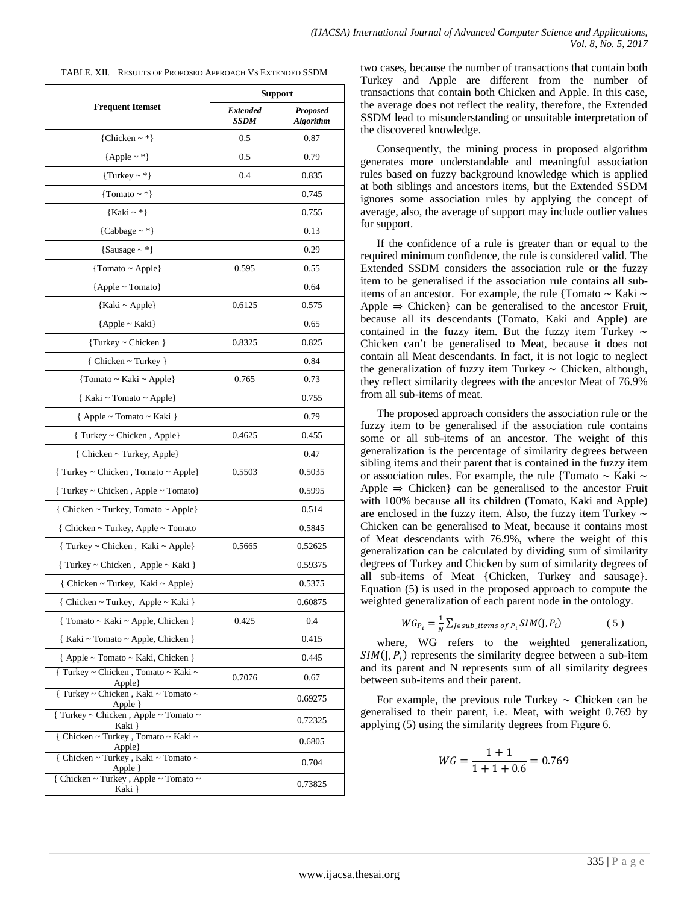TABLE. XII. RESULTS OF PROPOSED APPROACH VS EXTENDED SSDM

| <b>Frequent Itemset</b>                                           | <b>Support</b>          |                                     |
|-------------------------------------------------------------------|-------------------------|-------------------------------------|
|                                                                   | <b>Extended</b><br>SSDM | <b>Proposed</b><br><b>Algorithm</b> |
| {Chicken $\sim$ *}                                                | 0.5                     | 0.87                                |
| ${Apple - *}$                                                     | 0.5                     | 0.79                                |
| $\{Turkey \sim * \}$                                              | 0.4                     | 0.835                               |
| {Tomato ~ $*$ }                                                   |                         | 0.745                               |
| ${Kaki ~ *}$                                                      |                         | 0.755                               |
| {Cabbage $\sim$ *}                                                |                         | 0.13                                |
| {Sausage $\sim$ *}                                                |                         | 0.29                                |
| {Tomato ~ Apple}                                                  | 0.595                   | 0.55                                |
| ${Apple ~ Tomato}$                                                |                         | 0.64                                |
| ${Kaki ~ Apple}$                                                  | 0.6125                  | 0.575                               |
| ${Apple - Kaki}$                                                  |                         | 0.65                                |
| {Turkey ~ Chicken }                                               | 0.8325                  | 0.825                               |
| { Chicken ~ Turkey }                                              |                         | 0.84                                |
| {Tomato ~ Kaki ~ Apple}                                           | 0.765                   | 0.73                                |
| { Kaki ~ Tomato ~ Apple}                                          |                         | 0.755                               |
| { Apple ~ Tomato ~ Kaki }                                         |                         | 0.79                                |
| { Turkey ~ Chicken, Apple}                                        | 0.4625                  | 0.455                               |
| { Chicken ~ Turkey, Apple}                                        |                         | 0.47                                |
| { Turkey ~ Chicken, Tomato ~ Apple}                               | 0.5503                  | 0.5035                              |
| { Turkey ~ Chicken, Apple ~ Tomato}                               |                         | 0.5995                              |
| $\{$ Chicken ~ Turkey, Tomato ~ Apple $\}$                        |                         | 0.514                               |
| { Chicken ~ Turkey, Apple ~ Tomato                                |                         | 0.5845                              |
| { Turkey ~ Chicken, Kaki ~ Apple}                                 | 0.5665                  | 0.52625                             |
| { Turkey ~ Chicken, Apple ~ Kaki }                                |                         | 0.59375                             |
| { Chicken ~ Turkey, Kaki ~ Apple}                                 |                         | 0.5375                              |
| { Chicken ~ Turkey, Apple ~ Kaki }                                |                         | 0.60875                             |
| { Tomato ~ Kaki ~ Apple, Chicken }                                | 0.425                   | 0.4                                 |
| { Kaki ~ Tomato ~ Apple, Chicken }                                |                         | 0.415                               |
| { Apple ~ Tomato ~ Kaki, Chicken }                                |                         | 0.445                               |
| { Turkey ~ Chicken, Tomato ~ Kaki ~<br>Apple }                    | 0.7076                  | 0.67                                |
| {Turkey ~ Chicken, Kaki ~ Tomato ~                                |                         | 0.69275                             |
| Apple }<br>{ Turkey ~ Chicken, Apple ~ Tomato ~<br>Kaki }         |                         | 0.72325                             |
| { Chicken ~ Turkey , Tomato ~ Kaki ~                              |                         | 0.6805                              |
| Apple}<br>{ Chicken ~ Turkey, Kaki ~ Tomato ~<br>Apple }          |                         | 0.704                               |
| $\{$ Chicken $\sim$ Turkey , Apple $\sim$ Tomato $\sim$<br>Kaki } |                         | 0.73825                             |

two cases, because the number of transactions that contain both Turkey and Apple are different from the number of transactions that contain both Chicken and Apple. In this case, the average does not reflect the reality, therefore, the Extended SSDM lead to misunderstanding or unsuitable interpretation of the discovered knowledge.

Consequently, the mining process in proposed algorithm generates more understandable and meaningful association rules based on fuzzy background knowledge which is applied at both siblings and ancestors items, but the Extended SSDM ignores some association rules by applying the concept of average, also, the average of support may include outlier values for support.

If the confidence of a rule is greater than or equal to the required minimum confidence, the rule is considered valid. The Extended SSDM considers the association rule or the fuzzy item to be generalised if the association rule contains all subitems of an ancestor. For example, the rule {Tomato ∼ Kaki ∼ Apple  $\Rightarrow$  Chicken} can be generalised to the ancestor Fruit, because all its descendants (Tomato, Kaki and Apple) are contained in the fuzzy item. But the fuzzy item Turkey ∼ Chicken can't be generalised to Meat, because it does not contain all Meat descendants. In fact, it is not logic to neglect the generalization of fuzzy item Turkey ∼ Chicken, although, they reflect similarity degrees with the ancestor Meat of 76.9% from all sub-items of meat.

The proposed approach considers the association rule or the fuzzy item to be generalised if the association rule contains some or all sub-items of an ancestor. The weight of this generalization is the percentage of similarity degrees between sibling items and their parent that is contained in the fuzzy item or association rules. For example, the rule {Tomato ∼ Kaki ∼ Apple  $\Rightarrow$  Chicken} can be generalised to the ancestor Fruit with 100% because all its children (Tomato, Kaki and Apple) are enclosed in the fuzzy item. Also, the fuzzy item Turkey ∼ Chicken can be generalised to Meat, because it contains most of Meat descendants with 76.9%, where the weight of this generalization can be calculated by dividing sum of similarity degrees of Turkey and Chicken by sum of similarity degrees of all sub-items of Meat {Chicken, Turkey and sausage}. Equation (5) is used in the proposed approach to compute the weighted generalization of each parent node in the ontology.

$$
VG_{P_i} = \frac{1}{N} \sum_{j \in sub\_items \ of \ P_i} SIM(J, P_i)
$$
 (5)

where, WG refers to the weighted generalization,  $SIM(J, P_i)$  represents the similarity degree between a sub-item and its parent and N represents sum of all similarity degrees between sub-items and their parent.

For example, the previous rule Turkey ∼ Chicken can be generalised to their parent, i.e. Meat, with weight 0.769 by applying (5) using the similarity degrees from Figure 6.

$$
WG = \frac{1+1}{1+1+0.6} = 0.769
$$

 $\mathbf{L}$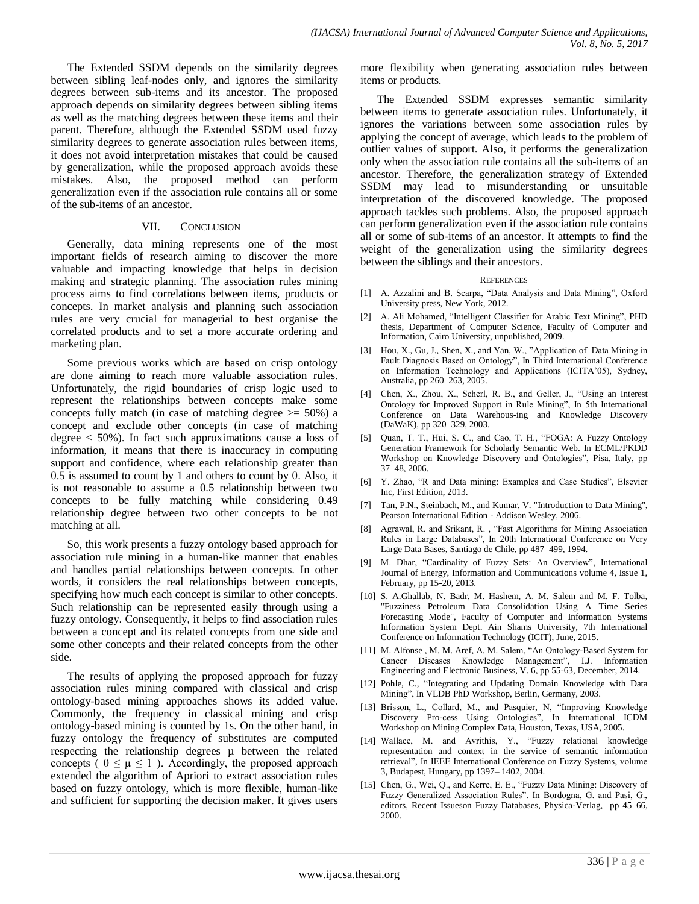The Extended SSDM depends on the similarity degrees between sibling leaf-nodes only, and ignores the similarity degrees between sub-items and its ancestor. The proposed approach depends on similarity degrees between sibling items as well as the matching degrees between these items and their parent. Therefore, although the Extended SSDM used fuzzy similarity degrees to generate association rules between items, it does not avoid interpretation mistakes that could be caused by generalization, while the proposed approach avoids these mistakes. Also, the proposed method can perform generalization even if the association rule contains all or some of the sub-items of an ancestor.

#### VII. CONCLUSION

Generally, data mining represents one of the most important fields of research aiming to discover the more valuable and impacting knowledge that helps in decision making and strategic planning. The association rules mining process aims to find correlations between items, products or concepts. In market analysis and planning such association rules are very crucial for managerial to best organise the correlated products and to set a more accurate ordering and marketing plan.

Some previous works which are based on crisp ontology are done aiming to reach more valuable association rules. Unfortunately, the rigid boundaries of crisp logic used to represent the relationships between concepts make some concepts fully match (in case of matching degree  $\ge$  = 50%) a concept and exclude other concepts (in case of matching degree  $<$  50%). In fact such approximations cause a loss of information, it means that there is inaccuracy in computing support and confidence, where each relationship greater than 0.5 is assumed to count by 1 and others to count by 0. Also, it is not reasonable to assume a 0.5 relationship between two concepts to be fully matching while considering 0.49 relationship degree between two other concepts to be not matching at all.

So, this work presents a fuzzy ontology based approach for association rule mining in a human-like manner that enables and handles partial relationships between concepts. In other words, it considers the real relationships between concepts, specifying how much each concept is similar to other concepts. Such relationship can be represented easily through using a fuzzy ontology. Consequently, it helps to find association rules between a concept and its related concepts from one side and some other concepts and their related concepts from the other side.

The results of applying the proposed approach for fuzzy association rules mining compared with classical and crisp ontology-based mining approaches shows its added value. Commonly, the frequency in classical mining and crisp ontology-based mining is counted by 1s. On the other hand, in fuzzy ontology the frequency of substitutes are computed respecting the relationship degrees µ between the related concepts (  $0 \leq \mu \leq 1$  ). Accordingly, the proposed approach extended the algorithm of Apriori to extract association rules based on fuzzy ontology, which is more flexible, human-like and sufficient for supporting the decision maker. It gives users more flexibility when generating association rules between items or products.

The Extended SSDM expresses semantic similarity between items to generate association rules. Unfortunately, it ignores the variations between some association rules by applying the concept of average, which leads to the problem of outlier values of support. Also, it performs the generalization only when the association rule contains all the sub-items of an ancestor. Therefore, the generalization strategy of Extended SSDM may lead to misunderstanding or unsuitable interpretation of the discovered knowledge. The proposed approach tackles such problems. Also, the proposed approach can perform generalization even if the association rule contains all or some of sub-items of an ancestor. It attempts to find the weight of the generalization using the similarity degrees between the siblings and their ancestors.

#### **REFERENCES**

- [1] A. Azzalini and B. Scarpa, "Data Analysis and Data Mining", Oxford University press, New York, 2012.
- [2] A. Ali Mohamed, "Intelligent Classifier for Arabic Text Mining", PHD thesis, Department of Computer Science, Faculty of Computer and Information, Cairo University, unpublished, 2009.
- [3] Hou, X., Gu, J., Shen, X., and Yan, W., "Application of Data Mining in Fault Diagnosis Based on Ontology", In Third International Conference on Information Technology and Applications (ICITA'05), Sydney, Australia, pp 260–263, 2005.
- [4] Chen, X., Zhou, X., Scherl, R. B., and Geller, J., "Using an Interest Ontology for Improved Support in Rule Mining", In 5th International Conference on Data Warehous-ing and Knowledge Discovery (DaWaK), pp 320–329, 2003.
- [5] Quan, T. T., Hui, S. C., and Cao, T. H., "FOGA: A Fuzzy Ontology Generation Framework for Scholarly Semantic Web. In ECML/PKDD Workshop on Knowledge Discovery and Ontologies", Pisa, Italy, pp 37–48, 2006.
- [6] Y. Zhao, "R and Data mining: Examples and Case Studies", Elsevier Inc, First Edition, 2013.
- [7] Tan, P.N., Steinbach, M., and Kumar, V. "Introduction to Data Mining", Pearson International Edition - Addison Wesley, 2006.
- [8] Agrawal, R. and Srikant, R. , "Fast Algorithms for Mining Association Rules in Large Databases", In 20th International Conference on Very Large Data Bases, Santiago de Chile, pp 487–499, 1994.
- [9] M. Dhar, "Cardinality of Fuzzy Sets: An Overview", International Journal of Energy, Information and Communications volume 4, Issue 1, February, pp 15-20, 2013.
- [10] S. A.Ghallab, N. Badr, M. Hashem, A. M. Salem and M. F. Tolba, "Fuzziness Petroleum Data Consolidation Using A Time Series Forecasting Mode", Faculty of Computer and Information Systems Information System Dept. Ain Shams University, 7th International Conference on Information Technology (ICIT), June, 2015.
- [11] M. Alfonse , M. M. Aref, A. M. Salem, "An Ontology-Based System for Cancer Diseases Knowledge Management", I.J. Information Engineering and Electronic Business, V. 6, pp 55-63, December, 2014.
- [12] Pohle, C., "Integrating and Updating Domain Knowledge with Data Mining", In VLDB PhD Workshop, Berlin, Germany, 2003.
- [13] Brisson, L., Collard, M., and Pasquier, N, "Improving Knowledge Discovery Pro-cess Using Ontologies", In International ICDM Workshop on Mining Complex Data, Houston, Texas, USA, 2005.
- [14] Wallace, M. and Avrithis, Y., "Fuzzy relational knowledge representation and context in the service of semantic information retrieval", In IEEE International Conference on Fuzzy Systems, volume 3, Budapest, Hungary, pp 1397– 1402, 2004.
- [15] Chen, G., Wei, Q., and Kerre, E. E., "Fuzzy Data Mining: Discovery of Fuzzy Generalized Association Rules". In Bordogna, G. and Pasi, G., editors, Recent Issueson Fuzzy Databases, Physica-Verlag, pp 45–66, 2000.